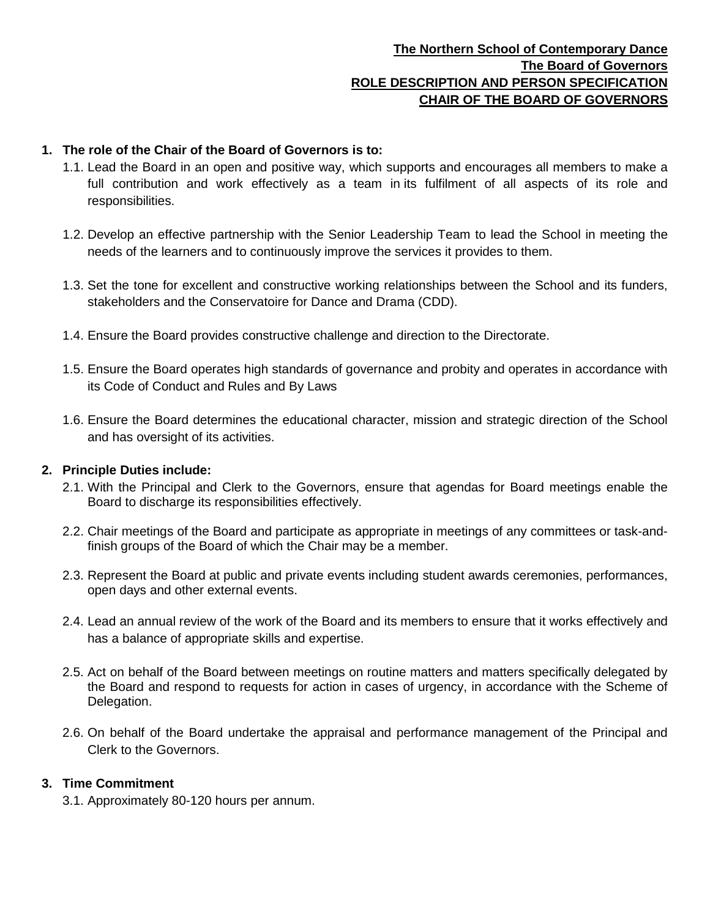## **The Northern School of Contemporary Dance The Board of Governors ROLE DESCRIPTION AND PERSON SPECIFICATION CHAIR OF THE BOARD OF GOVERNORS**

## **1. The role of the Chair of the Board of Governors is to:**

- 1.1. Lead the Board in an open and positive way, which supports and encourages all members to make a full contribution and work effectively as a team in its fulfilment of all aspects of its role and responsibilities.
- 1.2. Develop an effective partnership with the Senior Leadership Team to lead the School in meeting the needs of the learners and to continuously improve the services it provides to them.
- 1.3. Set the tone for excellent and constructive working relationships between the School and its funders, stakeholders and the Conservatoire for Dance and Drama (CDD).
- 1.4. Ensure the Board provides constructive challenge and direction to the Directorate.
- 1.5. Ensure the Board operates high standards of governance and probity and operates in accordance with its Code of Conduct and Rules and By Laws
- 1.6. Ensure the Board determines the educational character, mission and strategic direction of the School and has oversight of its activities.

### **2. Principle Duties include:**

- 2.1. With the Principal and Clerk to the Governors, ensure that agendas for Board meetings enable the Board to discharge its responsibilities effectively.
- 2.2. Chair meetings of the Board and participate as appropriate in meetings of any committees or task-andfinish groups of the Board of which the Chair may be a member.
- 2.3. Represent the Board at public and private events including student awards ceremonies, performances, open days and other external events.
- 2.4. Lead an annual review of the work of the Board and its members to ensure that it works effectively and has a balance of appropriate skills and expertise.
- 2.5. Act on behalf of the Board between meetings on routine matters and matters specifically delegated by the Board and respond to requests for action in cases of urgency, in accordance with the Scheme of Delegation.
- 2.6. On behalf of the Board undertake the appraisal and performance management of the Principal and Clerk to the Governors.

### **3. Time Commitment**

3.1. Approximately 80-120 hours per annum.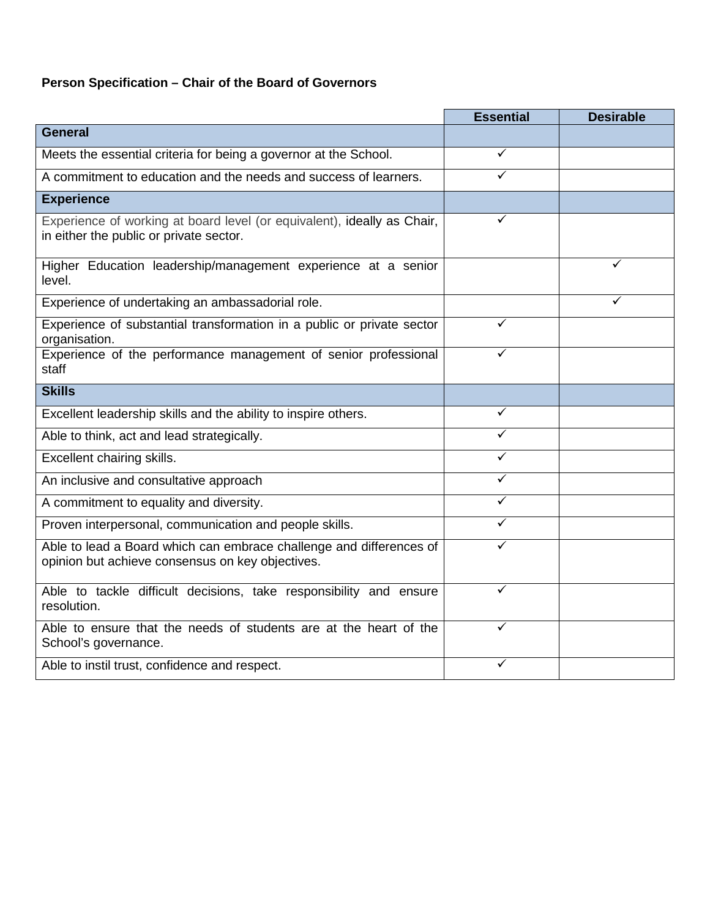## **Person Specification – Chair of the Board of Governors**

|                                                                                                                         | <b>Essential</b> | <b>Desirable</b> |
|-------------------------------------------------------------------------------------------------------------------------|------------------|------------------|
| <b>General</b>                                                                                                          |                  |                  |
| Meets the essential criteria for being a governor at the School.                                                        | ✓                |                  |
| A commitment to education and the needs and success of learners.                                                        | ✓                |                  |
| <b>Experience</b>                                                                                                       |                  |                  |
| Experience of working at board level (or equivalent), ideally as Chair,<br>in either the public or private sector.      | ✓                |                  |
| Higher Education leadership/management experience at a senior<br>level.                                                 |                  | ✓                |
| Experience of undertaking an ambassadorial role.                                                                        |                  |                  |
| Experience of substantial transformation in a public or private sector<br>organisation.                                 | ✓                |                  |
| Experience of the performance management of senior professional<br>staff                                                | ✓                |                  |
| <b>Skills</b>                                                                                                           |                  |                  |
| Excellent leadership skills and the ability to inspire others.                                                          | ✓                |                  |
| Able to think, act and lead strategically.                                                                              | ✓                |                  |
| Excellent chairing skills.                                                                                              | ✓                |                  |
| An inclusive and consultative approach                                                                                  | ✓                |                  |
| A commitment to equality and diversity.                                                                                 | ✓                |                  |
| Proven interpersonal, communication and people skills.                                                                  | ✓                |                  |
| Able to lead a Board which can embrace challenge and differences of<br>opinion but achieve consensus on key objectives. | ✓                |                  |
| Able to tackle difficult decisions, take responsibility and ensure<br>resolution.                                       | ✓                |                  |
| Able to ensure that the needs of students are at the heart of the<br>School's governance.                               | ✓                |                  |
| Able to instil trust, confidence and respect.                                                                           |                  |                  |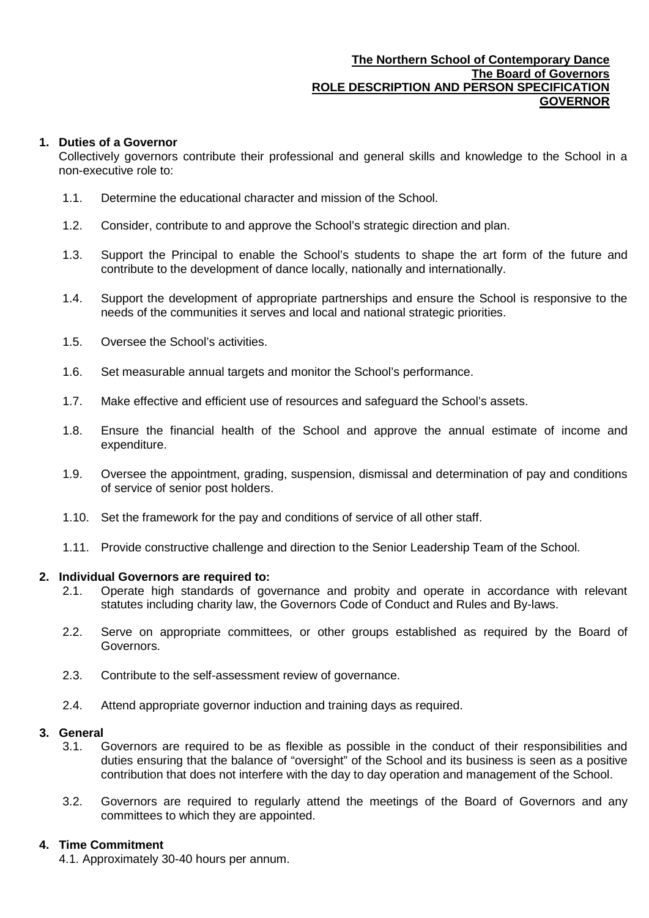### **The Northern School of Contemporary Dance The Board of Governors ROLE DESCRIPTION AND PERSON SPECIFICATION GOVERNOR**

### **1. Duties of a Governor**

Collectively governors contribute their professional and general skills and knowledge to the School in a non-executive role to:

- 1.1. Determine the educational character and mission of the School.
- 1.2. Consider, contribute to and approve the School's strategic direction and plan.
- 1.3. Support the Principal to enable the School's students to shape the art form of the future and contribute to the development of dance locally, nationally and internationally.
- 1.4. Support the development of appropriate partnerships and ensure the School is responsive to the needs of the communities it serves and local and national strategic priorities.
- 1.5. Oversee the School's activities.
- 1.6. Set measurable annual targets and monitor the School's performance.
- 1.7. Make effective and efficient use of resources and safeguard the School's assets.
- 1.8. Ensure the financial health of the School and approve the annual estimate of income and expenditure.
- 1.9. Oversee the appointment, grading, suspension, dismissal and determination of pay and conditions of service of senior post holders.
- 1.10. Set the framework for the pay and conditions of service of all other staff.
- 1.11. Provide constructive challenge and direction to the Senior Leadership Team of the School.

#### **2. Individual Governors are required to:**

- 2.1. Operate high standards of governance and probity and operate in accordance with relevant statutes including charity law, the Governors Code of Conduct and Rules and By-laws.
- 2.2. Serve on appropriate committees, or other groups established as required by the Board of Governors.
- 2.3. Contribute to the self-assessment review of governance.
- 2.4. Attend appropriate governor induction and training days as required.

### **3. General**

- 3.1. Governors are required to be as flexible as possible in the conduct of their responsibilities and duties ensuring that the balance of "oversight" of the School and its business is seen as a positive contribution that does not interfere with the day to day operation and management of the School.
- 3.2. Governors are required to regularly attend the meetings of the Board of Governors and any committees to which they are appointed.

### **4. Time Commitment**

4.1. Approximately 30-40 hours per annum.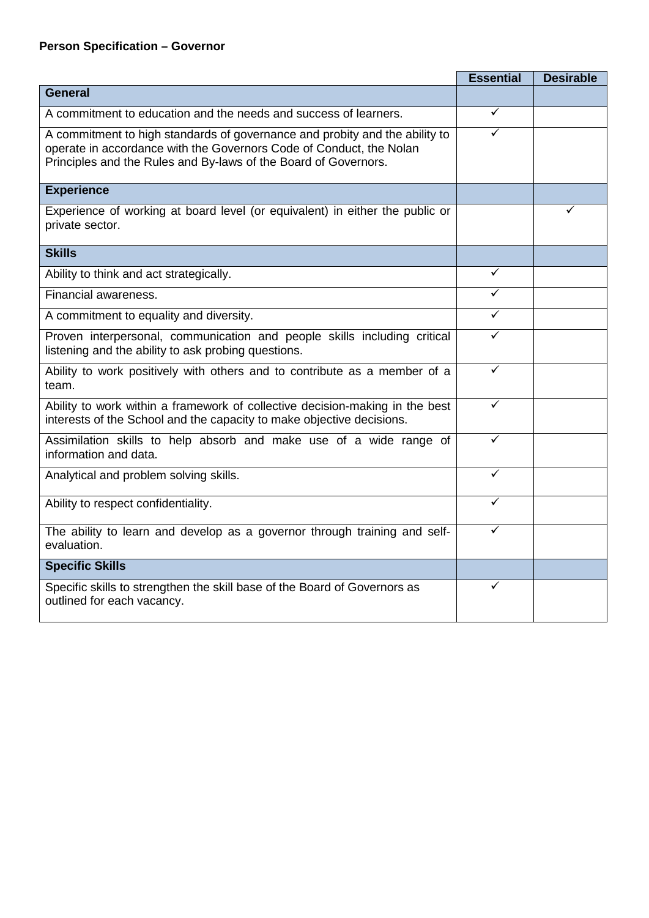## **Person Specification – Governor**

|                                                                                                                                                                                                                       | <b>Essential</b> | <b>Desirable</b> |
|-----------------------------------------------------------------------------------------------------------------------------------------------------------------------------------------------------------------------|------------------|------------------|
| <b>General</b>                                                                                                                                                                                                        |                  |                  |
| A commitment to education and the needs and success of learners.                                                                                                                                                      | ✓                |                  |
| A commitment to high standards of governance and probity and the ability to<br>operate in accordance with the Governors Code of Conduct, the Nolan<br>Principles and the Rules and By-laws of the Board of Governors. |                  |                  |
| <b>Experience</b>                                                                                                                                                                                                     |                  |                  |
| Experience of working at board level (or equivalent) in either the public or<br>private sector.                                                                                                                       |                  |                  |
| <b>Skills</b>                                                                                                                                                                                                         |                  |                  |
| Ability to think and act strategically.                                                                                                                                                                               | ✓                |                  |
| Financial awareness.                                                                                                                                                                                                  |                  |                  |
| A commitment to equality and diversity.                                                                                                                                                                               | ✓                |                  |
| Proven interpersonal, communication and people skills including critical<br>listening and the ability to ask probing questions.                                                                                       | ✓                |                  |
| Ability to work positively with others and to contribute as a member of a<br>team.                                                                                                                                    | $\checkmark$     |                  |
| Ability to work within a framework of collective decision-making in the best<br>interests of the School and the capacity to make objective decisions.                                                                 | ✓                |                  |
| Assimilation skills to help absorb and make use of a wide range of<br>information and data.                                                                                                                           | $\checkmark$     |                  |
| Analytical and problem solving skills.                                                                                                                                                                                | ✓                |                  |
| Ability to respect confidentiality.                                                                                                                                                                                   | ✓                |                  |
| The ability to learn and develop as a governor through training and self-<br>evaluation.                                                                                                                              | ✓                |                  |
| <b>Specific Skills</b>                                                                                                                                                                                                |                  |                  |
| Specific skills to strengthen the skill base of the Board of Governors as<br>outlined for each vacancy.                                                                                                               | ✓                |                  |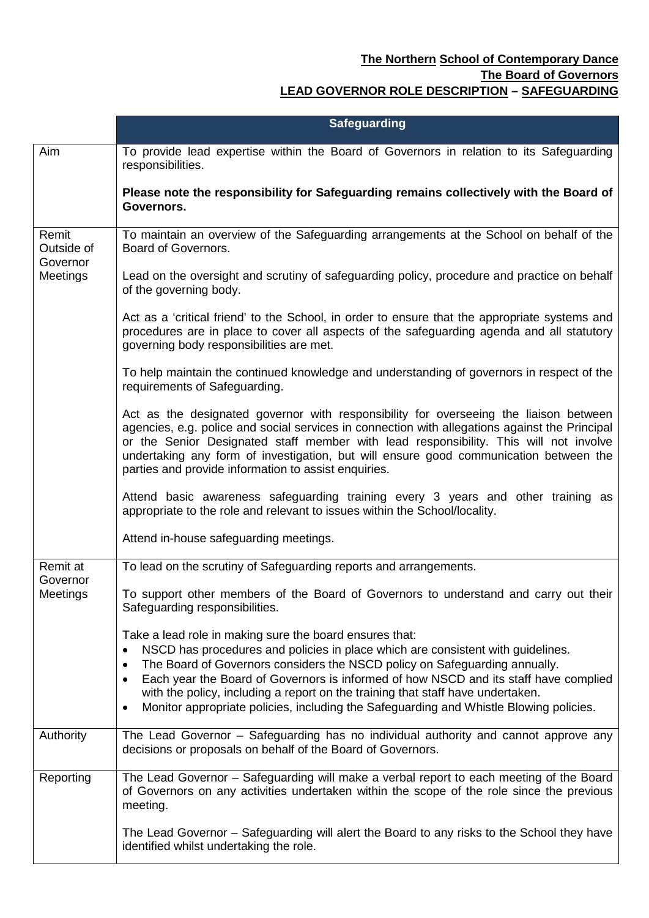## **The Northern School of Contemporary Dance The Board of Governors LEAD GOVERNOR ROLE DESCRIPTION – SAFEGUARDING**

|                                 | <b>Safeguarding</b>                                                                                                                                                                                                                                                                                                                                                                                                               |
|---------------------------------|-----------------------------------------------------------------------------------------------------------------------------------------------------------------------------------------------------------------------------------------------------------------------------------------------------------------------------------------------------------------------------------------------------------------------------------|
| Aim                             | To provide lead expertise within the Board of Governors in relation to its Safeguarding<br>responsibilities.                                                                                                                                                                                                                                                                                                                      |
|                                 | Please note the responsibility for Safeguarding remains collectively with the Board of<br>Governors.                                                                                                                                                                                                                                                                                                                              |
| Remit<br>Outside of<br>Governor | To maintain an overview of the Safeguarding arrangements at the School on behalf of the<br>Board of Governors.                                                                                                                                                                                                                                                                                                                    |
| Meetings                        | Lead on the oversight and scrutiny of safeguarding policy, procedure and practice on behalf<br>of the governing body.                                                                                                                                                                                                                                                                                                             |
|                                 | Act as a 'critical friend' to the School, in order to ensure that the appropriate systems and<br>procedures are in place to cover all aspects of the safeguarding agenda and all statutory<br>governing body responsibilities are met.                                                                                                                                                                                            |
|                                 | To help maintain the continued knowledge and understanding of governors in respect of the<br>requirements of Safeguarding.                                                                                                                                                                                                                                                                                                        |
|                                 | Act as the designated governor with responsibility for overseeing the liaison between<br>agencies, e.g. police and social services in connection with allegations against the Principal<br>or the Senior Designated staff member with lead responsibility. This will not involve<br>undertaking any form of investigation, but will ensure good communication between the<br>parties and provide information to assist enquiries. |
|                                 | Attend basic awareness safeguarding training every 3 years and other training as<br>appropriate to the role and relevant to issues within the School/locality.                                                                                                                                                                                                                                                                    |
|                                 | Attend in-house safeguarding meetings.                                                                                                                                                                                                                                                                                                                                                                                            |
| Remit at<br>Governor            | To lead on the scrutiny of Safeguarding reports and arrangements.                                                                                                                                                                                                                                                                                                                                                                 |
| Meetings                        | To support other members of the Board of Governors to understand and carry out their<br>Safeguarding responsibilities.                                                                                                                                                                                                                                                                                                            |
|                                 | Take a lead role in making sure the board ensures that:                                                                                                                                                                                                                                                                                                                                                                           |
|                                 | NSCD has procedures and policies in place which are consistent with guidelines.<br>$\bullet$<br>The Board of Governors considers the NSCD policy on Safeguarding annually.<br>$\bullet$                                                                                                                                                                                                                                           |
|                                 | Each year the Board of Governors is informed of how NSCD and its staff have complied                                                                                                                                                                                                                                                                                                                                              |
|                                 | with the policy, including a report on the training that staff have undertaken.<br>Monitor appropriate policies, including the Safeguarding and Whistle Blowing policies.<br>$\bullet$                                                                                                                                                                                                                                            |
| Authority                       | The Lead Governor - Safeguarding has no individual authority and cannot approve any<br>decisions or proposals on behalf of the Board of Governors.                                                                                                                                                                                                                                                                                |
| Reporting                       | The Lead Governor - Safeguarding will make a verbal report to each meeting of the Board<br>of Governors on any activities undertaken within the scope of the role since the previous<br>meeting.                                                                                                                                                                                                                                  |
|                                 | The Lead Governor – Safeguarding will alert the Board to any risks to the School they have<br>identified whilst undertaking the role.                                                                                                                                                                                                                                                                                             |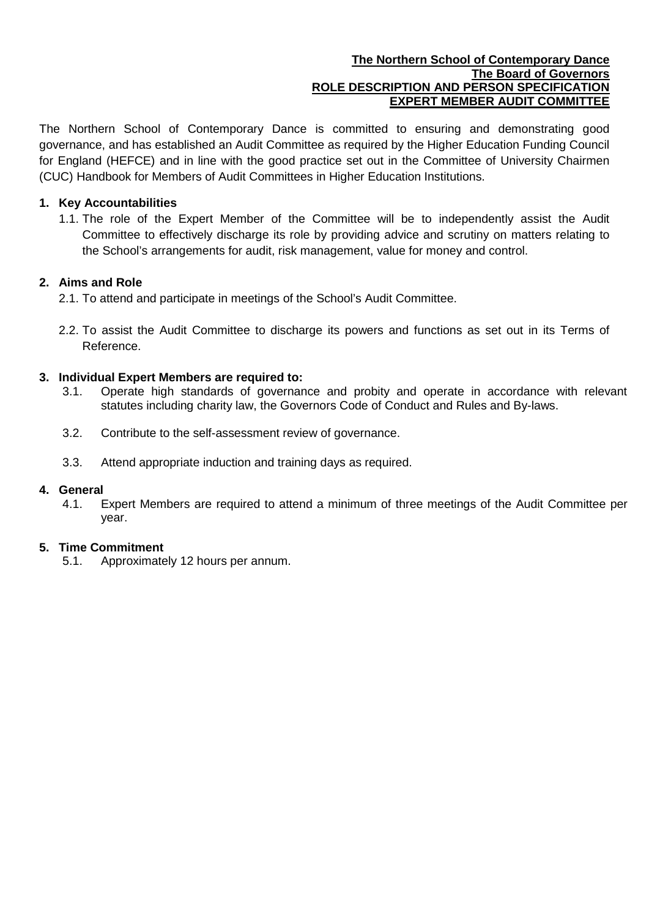### **The Northern School of Contemporary Dance The Board of Governors ROLE DESCRIPTION AND PERSON SPECIFICATION EXPERT MEMBER AUDIT COMMITTEE**

The Northern School of Contemporary Dance is committed to ensuring and demonstrating good governance, and has established an Audit Committee as required by the Higher Education Funding Council for England (HEFCE) and in line with the good practice set out in the Committee of University Chairmen (CUC) Handbook for Members of Audit Committees in Higher Education Institutions.

## **1. Key Accountabilities**

1.1. The role of the Expert Member of the Committee will be to independently assist the Audit Committee to effectively discharge its role by providing advice and scrutiny on matters relating to the School's arrangements for audit, risk management, value for money and control.

## **2. Aims and Role**

- 2.1. To attend and participate in meetings of the School's Audit Committee.
- 2.2. To assist the Audit Committee to discharge its powers and functions as set out in its Terms of Reference.

### **3. Individual Expert Members are required to:**

- 3.1. Operate high standards of governance and probity and operate in accordance with relevant statutes including charity law, the Governors Code of Conduct and Rules and By-laws.
- 3.2. Contribute to the self-assessment review of governance.
- 3.3. Attend appropriate induction and training days as required.

### **4. General**

4.1. Expert Members are required to attend a minimum of three meetings of the Audit Committee per year.

### **5. Time Commitment**

5.1. Approximately 12 hours per annum.